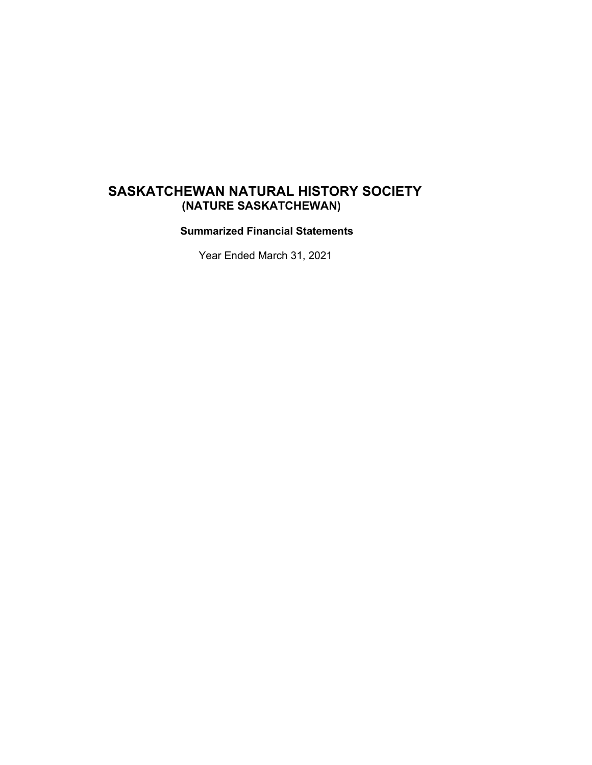# **(NATURE SASKATCHEWAN) SASKATCHEWAN NATURAL HISTORY SOCIETY**

**Summarized Financial Statements**

Year Ended March 31, 2021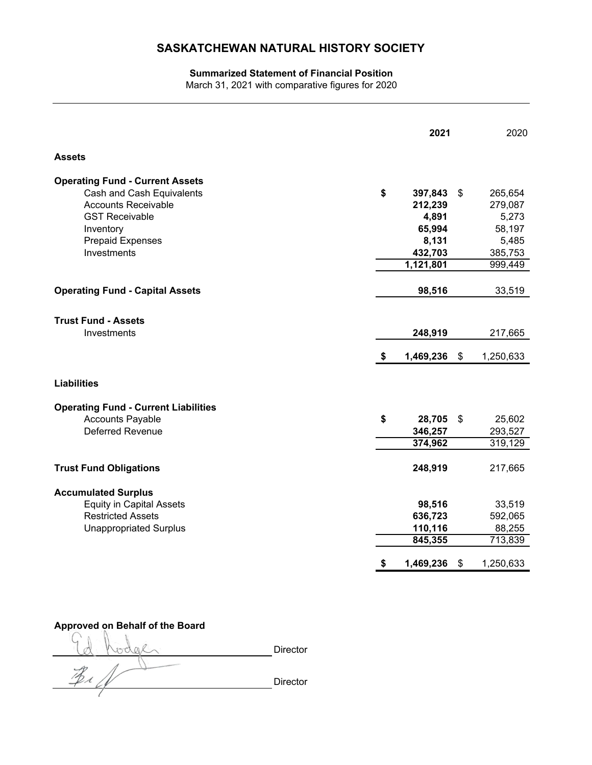### **SASKATCHEWAN NATURAL HISTORY SOCIETY**

#### **Summarized Statement of Financial Position**

March 31, 2021 with comparative figures for 2020

| <b>Assets</b>                                                                                                                                                                     |                                                                              |               |                                                                      |
|-----------------------------------------------------------------------------------------------------------------------------------------------------------------------------------|------------------------------------------------------------------------------|---------------|----------------------------------------------------------------------|
|                                                                                                                                                                                   |                                                                              |               |                                                                      |
| <b>Operating Fund - Current Assets</b><br>Cash and Cash Equivalents<br><b>Accounts Receivable</b><br><b>GST Receivable</b><br>Inventory<br><b>Prepaid Expenses</b><br>Investments | \$<br>397,843<br>212,239<br>4,891<br>65,994<br>8,131<br>432,703<br>1,121,801 | \$            | 265,654<br>279,087<br>5,273<br>58,197<br>5,485<br>385,753<br>999,449 |
| <b>Operating Fund - Capital Assets</b>                                                                                                                                            | 98,516                                                                       |               | 33,519                                                               |
| <b>Trust Fund - Assets</b><br>Investments                                                                                                                                         | \$<br>248,919<br>1,469,236                                                   | $\sqrt[6]{3}$ | 217,665<br>1,250,633                                                 |
| <b>Liabilities</b>                                                                                                                                                                |                                                                              |               |                                                                      |
| <b>Operating Fund - Current Liabilities</b><br><b>Accounts Payable</b><br><b>Deferred Revenue</b>                                                                                 | \$<br>28,705<br>346,257<br>374,962                                           | \$            | 25,602<br>293,527<br>319,129                                         |
| <b>Trust Fund Obligations</b>                                                                                                                                                     | 248,919                                                                      |               | 217,665                                                              |
| <b>Accumulated Surplus</b><br><b>Equity in Capital Assets</b><br><b>Restricted Assets</b><br><b>Unappropriated Surplus</b>                                                        | \$<br>98,516<br>636,723<br>110,116<br>845,355<br>1,469,236                   | \$            | 33,519<br>592,065<br>88,255<br>713,839<br>1,250,633                  |

## **Approved on Behalf of the Board**

Ed Rodge **Director** Director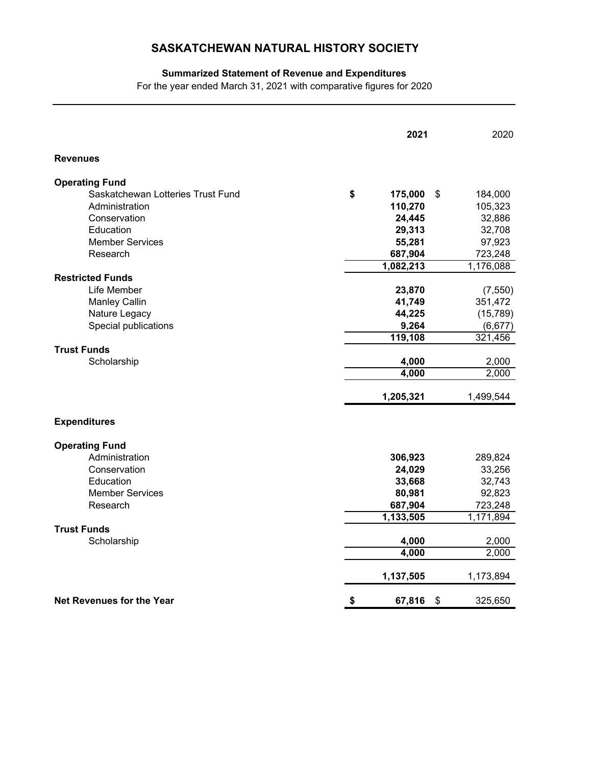# **SASKATCHEWAN NATURAL HISTORY SOCIETY**

## **Summarized Statement of Revenue and Expenditures**

For the year ended March 31, 2021 with comparative figures for 2020

|                                   | 2021                | 2020           |
|-----------------------------------|---------------------|----------------|
| <b>Revenues</b>                   |                     |                |
| <b>Operating Fund</b>             |                     |                |
| Saskatchewan Lotteries Trust Fund | \$<br>175,000<br>\$ | 184,000        |
| Administration                    | 110,270             | 105,323        |
| Conservation                      | 24,445              | 32,886         |
| Education                         | 29,313              | 32,708         |
| <b>Member Services</b>            | 55,281              | 97,923         |
| Research                          | 687,904             | 723,248        |
|                                   | 1,082,213           | 1,176,088      |
| <b>Restricted Funds</b>           |                     |                |
| Life Member                       | 23,870              | (7, 550)       |
| <b>Manley Callin</b>              | 41,749              | 351,472        |
| Nature Legacy                     | 44,225              | (15, 789)      |
| Special publications              | 9,264               | (6,677)        |
|                                   | 119,108             | 321,456        |
| <b>Trust Funds</b>                |                     |                |
| Scholarship                       | 4,000<br>4,000      | 2,000          |
|                                   |                     | 2,000          |
|                                   | 1,205,321           | 1,499,544      |
| <b>Expenditures</b>               |                     |                |
| <b>Operating Fund</b>             |                     |                |
| Administration                    | 306,923             | 289,824        |
| Conservation                      | 24,029              | 33,256         |
| Education                         | 33,668              | 32,743         |
| <b>Member Services</b>            | 80,981              | 92,823         |
| Research                          | 687,904             | 723,248        |
|                                   | 1,133,505           | 1,171,894      |
| <b>Trust Funds</b>                |                     |                |
| Scholarship                       | 4,000<br>4,000      | 2,000<br>2,000 |
|                                   |                     |                |
|                                   | 1,137,505           | 1,173,894      |
| <b>Net Revenues for the Year</b>  | \$<br>\$<br>67,816  | 325,650        |